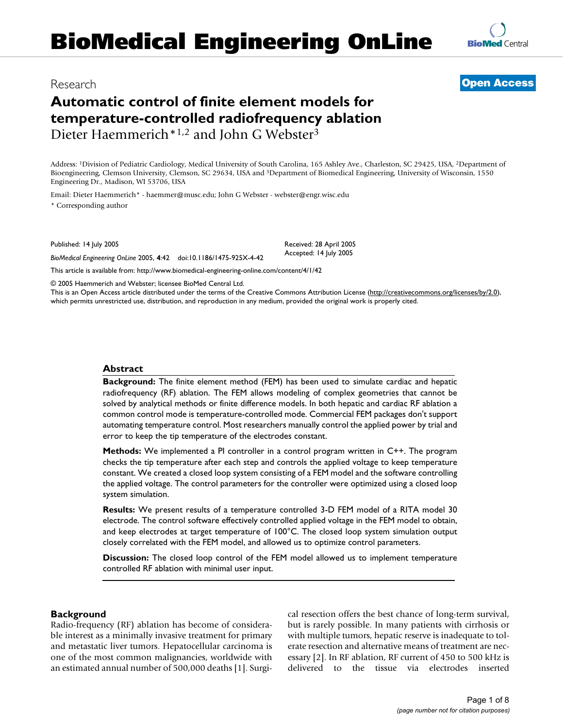## Research **[Open Access](http://www.biomedcentral.com/info/about/charter/)**

**[BioMed](http://www.biomedcentral.com/)** Central

# **Automatic control of finite element models for temperature-controlled radiofrequency ablation** Dieter Haemmerich<sup>\*1,2</sup> and John G Webster<sup>3</sup>

Address: 1Division of Pediatric Cardiology, Medical University of South Carolina, 165 Ashley Ave., Charleston, SC 29425, USA, 2Department of Bioengineering, Clemson University, Clemson, SC 29634, USA and 3Department of Biomedical Engineering, University of Wisconsin, 1550 Engineering Dr., Madison, WI 53706, USA

Email: Dieter Haemmerich\* - haemmer@musc.edu; John G Webster - webster@engr.wisc.edu

\* Corresponding author

Published: 14 July 2005

*BioMedical Engineering OnLine* 2005, **4**:42 doi:10.1186/1475-925X-4-42

[This article is available from: http://www.biomedical-engineering-online.com/content/4/1/42](http://www.biomedical-engineering-online.com/content/4/1/42)

© 2005 Haemmerich and Webster; licensee BioMed Central Ltd.

This is an Open Access article distributed under the terms of the Creative Commons Attribution License [\(http://creativecommons.org/licenses/by/2.0\)](http://creativecommons.org/licenses/by/2.0), which permits unrestricted use, distribution, and reproduction in any medium, provided the original work is properly cited.

Received: 28 April 2005 Accepted: 14 July 2005

#### **Abstract**

**Background:** The finite element method (FEM) has been used to simulate cardiac and hepatic radiofrequency (RF) ablation. The FEM allows modeling of complex geometries that cannot be solved by analytical methods or finite difference models. In both hepatic and cardiac RF ablation a common control mode is temperature-controlled mode. Commercial FEM packages don't support automating temperature control. Most researchers manually control the applied power by trial and error to keep the tip temperature of the electrodes constant.

**Methods:** We implemented a PI controller in a control program written in C++. The program checks the tip temperature after each step and controls the applied voltage to keep temperature constant. We created a closed loop system consisting of a FEM model and the software controlling the applied voltage. The control parameters for the controller were optimized using a closed loop system simulation.

**Results:** We present results of a temperature controlled 3-D FEM model of a RITA model 30 electrode. The control software effectively controlled applied voltage in the FEM model to obtain, and keep electrodes at target temperature of 100°C. The closed loop system simulation output closely correlated with the FEM model, and allowed us to optimize control parameters.

**Discussion:** The closed loop control of the FEM model allowed us to implement temperature controlled RF ablation with minimal user input.

#### **Background**

Radio-frequency (RF) ablation has become of considerable interest as a minimally invasive treatment for primary and metastatic liver tumors. Hepatocellular carcinoma is one of the most common malignancies, worldwide with an estimated annual number of 500,000 deaths [1]. Surgical resection offers the best chance of long-term survival, but is rarely possible. In many patients with cirrhosis or with multiple tumors, hepatic reserve is inadequate to tolerate resection and alternative means of treatment are necessary [2]. In RF ablation, RF current of 450 to 500 kHz is delivered to the tissue via electrodes inserted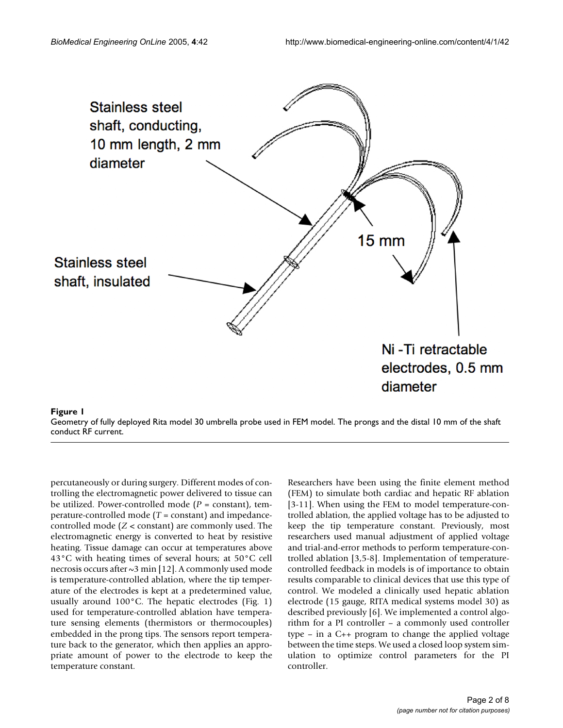

#### Figure 1 Geometry of fully deployed Rita model 30 umbrella probe used in FEM model. The prongs and the distal 10 mm of the shaft conduct RF current.

percutaneously or during surgery. Different modes of controlling the electromagnetic power delivered to tissue can be utilized. Power-controlled mode (*P* = constant), temperature-controlled mode (*T* = constant) and impedancecontrolled mode (*Z* < constant) are commonly used. The electromagnetic energy is converted to heat by resistive heating. Tissue damage can occur at temperatures above 43°C with heating times of several hours; at 50°C cell necrosis occurs after ~3 min [12]. A commonly used mode is temperature-controlled ablation, where the tip temperature of the electrodes is kept at a predetermined value, usually around 100°C. The hepatic electrodes (Fig. 1) used for temperature-controlled ablation have temperature sensing elements (thermistors or thermocouples) embedded in the prong tips. The sensors report temperature back to the generator, which then applies an appropriate amount of power to the electrode to keep the temperature constant.

Researchers have been using the finite element method (FEM) to simulate both cardiac and hepatic RF ablation [3-11]. When using the FEM to model temperature-controlled ablation, the applied voltage has to be adjusted to keep the tip temperature constant. Previously, most researchers used manual adjustment of applied voltage and trial-and-error methods to perform temperature-controlled ablation [3,5-8]. Implementation of temperaturecontrolled feedback in models is of importance to obtain results comparable to clinical devices that use this type of control. We modeled a clinically used hepatic ablation electrode (15 gauge, RITA medical systems model 30) as described previously [6]. We implemented a control algorithm for a PI controller – a commonly used controller type – in a C++ program to change the applied voltage between the time steps. We used a closed loop system simulation to optimize control parameters for the PI controller.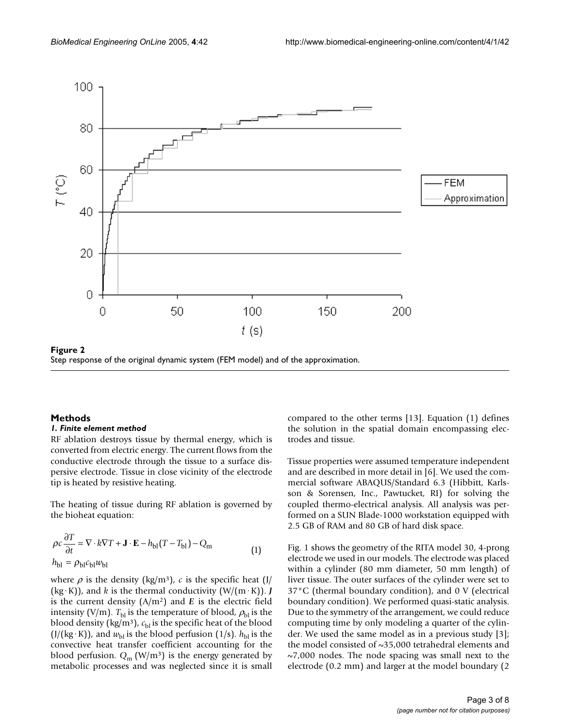

Step response of the original dynamic system (FEM model) and of the approximation.

#### **Methods**

#### *1. Finite element method*

RF ablation destroys tissue by thermal energy, which is converted from electric energy. The current flows from the conductive electrode through the tissue to a surface dispersive electrode. Tissue in close vicinity of the electrode tip is heated by resistive heating.

The heating of tissue during RF ablation is governed by the bioheat equation:

$$
\rho c \frac{\partial T}{\partial t} = \nabla \cdot k \nabla T + \mathbf{J} \cdot \mathbf{E} - h_{\text{bl}} (T - T_{\text{bl}}) - Q_{\text{m}}
$$
  
\n
$$
h_{\text{bl}} = \rho_{\text{bl}} c_{\text{bl}} w_{\text{bl}}
$$
\n(1)

where  $\rho$  is the density (kg/m<sup>3</sup>), *c* is the specific heat (J/ (kg·K)), and *k* is the thermal conductivity (W/(m·K)). *J* is the current density  $(A/m<sup>2</sup>)$  and *E* is the electric field intensity (V/m).  $T_{\text{bl}}$  is the temperature of blood,  $\rho_{\text{bl}}$  is the blood density (kg/m<sup>3</sup>),  $c_{\rm bl}$  is the specific heat of the blood  $(J/(kg \cdot K))$ , and  $w_{bl}$  is the blood perfusion (1/s).  $h_{bl}$  is the convective heat transfer coefficient accounting for the blood perfusion.  $Q_m (W/m^3)$  is the energy generated by metabolic processes and was neglected since it is small

compared to the other terms [13]. Equation (1) defines the solution in the spatial domain encompassing electrodes and tissue.

Tissue properties were assumed temperature independent and are described in more detail in [6]. We used the commercial software ABAQUS/Standard 6.3 (Hibbitt, Karlsson & Sorensen, Inc., Pawtucket, RI) for solving the coupled thermo-electrical analysis. All analysis was performed on a SUN Blade-1000 workstation equipped with 2.5 GB of RAM and 80 GB of hard disk space.

Fig. 1 shows the geometry of the RITA model 30, 4-prong electrode we used in our models. The electrode was placed within a cylinder (80 mm diameter, 50 mm length) of liver tissue. The outer surfaces of the cylinder were set to 37°C (thermal boundary condition), and 0 V (electrical boundary condition). We performed quasi-static analysis. Due to the symmetry of the arrangement, we could reduce computing time by only modeling a quarter of the cylinder. We used the same model as in a previous study [3]; the model consisted of ~35,000 tetrahedral elements and  $\sim$ 7,000 nodes. The node spacing was small next to the electrode (0.2 mm) and larger at the model boundary (2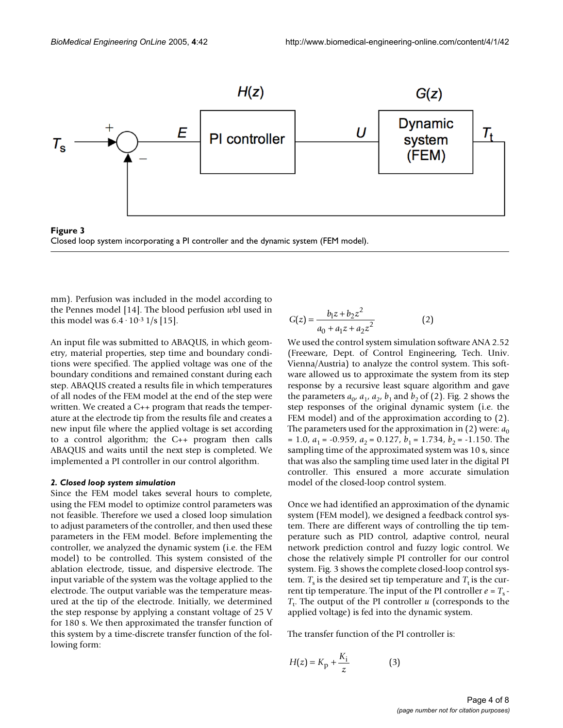

Closed loop system incorporating a PI cont **Figure 3** roller and the dynamic system (FEM model) Closed loop system incorporating a PI controller and the dynamic system (FEM model).

mm). Perfusion was included in the model according to the Pennes model [14]. The blood perfusion *w*bl used in this model was  $6.4 \cdot 10^{-3}$  1/s [15].

An input file was submitted to ABAQUS, in which geometry, material properties, step time and boundary conditions were specified. The applied voltage was one of the boundary conditions and remained constant during each step. ABAQUS created a results file in which temperatures of all nodes of the FEM model at the end of the step were written. We created a C++ program that reads the temperature at the electrode tip from the results file and creates a new input file where the applied voltage is set according to a control algorithm; the C++ program then calls ABAQUS and waits until the next step is completed. We implemented a PI controller in our control algorithm.

#### *2. Closed loop system simulation*

Since the FEM model takes several hours to complete, using the FEM model to optimize control parameters was not feasible. Therefore we used a closed loop simulation to adjust parameters of the controller, and then used these parameters in the FEM model. Before implementing the controller, we analyzed the dynamic system (i.e. the FEM model) to be controlled. This system consisted of the ablation electrode, tissue, and dispersive electrode. The input variable of the system was the voltage applied to the electrode. The output variable was the temperature measured at the tip of the electrode. Initially, we determined the step response by applying a constant voltage of 25 V for 180 s. We then approximated the transfer function of this system by a time-discrete transfer function of the following form:

$$
G(z) = \frac{b_1 z + b_2 z^2}{a_0 + a_1 z + a_2 z^2}
$$
 (2)

We used the control system simulation software ANA 2.52 (Freeware, Dept. of Control Engineering, Tech. Univ. Vienna/Austria) to analyze the control system. This software allowed us to approximate the system from its step response by a recursive least square algorithm and gave the parameters  $a_0$ ,  $a_1$ ,  $a_2$ ,  $b_1$  and  $b_2$  of (2). Fig. 2 shows the step responses of the original dynamic system (i.e. the FEM model) and of the approximation according to (2). The parameters used for the approximation in  $(2)$  were:  $a_0$  $= 1.0$ ,  $a_1 = -0.959$ ,  $a_2 = 0.127$ ,  $b_1 = 1.734$ ,  $b_2 = -1.150$ . The sampling time of the approximated system was 10 s, since that was also the sampling time used later in the digital PI controller. This ensured a more accurate simulation model of the closed-loop control system.

Once we had identified an approximation of the dynamic system (FEM model), we designed a feedback control system. There are different ways of controlling the tip temperature such as PID control, adaptive control, neural network prediction control and fuzzy logic control. We chose the relatively simple PI controller for our control system. Fig. 3 shows the complete closed-loop control system.  $T_s$  is the desired set tip temperature and  $T_t$  is the current tip temperature. The input of the PI controller  $e = T_s$ . *T*<sub>t</sub>. The output of the PI controller *u* (corresponds to the applied voltage) is fed into the dynamic system.

The transfer function of the PI controller is:

$$
H(z) = K_{\rm p} + \frac{K_{\rm i}}{z} \tag{3}
$$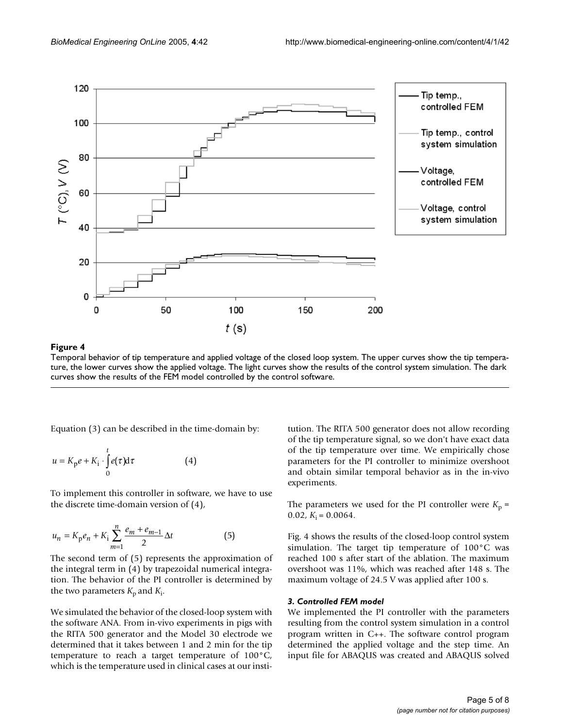

#### $\rho$  **Figure 4** applied voltage of tip temperature and  $\rho$  applied voltage of the closed loop system of the closed loop system of the closed loop system of the closed loop system of the closed loop system of the closed lo

Temporal behavior of tip temperature and applied voltage of the closed loop system. The upper curves show the tip temperature, the lower curves show the applied voltage. The light curves show the results of the control system simulation. The dark curves show the results of the FEM model controlled by the control software.

Equation (3) can be described in the time-domain by:

$$
u = K_{\mathbf{p}}e + K_{\mathbf{i}} \cdot \int_{0}^{t} e(\tau) d\tau
$$
 (4)

To implement this controller in software, we have to use the discrete time-domain version of (4),

$$
u_n = K_p e_n + K_i \sum_{m=1}^{n} \frac{e_m + e_{m-1}}{2} \Delta t
$$
 (5)

The second term of (5) represents the approximation of the integral term in (4) by trapezoidal numerical integration. The behavior of the PI controller is determined by the two parameters  $K_{\rm p}$  and  $K_{\rm i}$ .

We simulated the behavior of the closed-loop system with the software ANA. From in-vivo experiments in pigs with the RITA 500 generator and the Model 30 electrode we determined that it takes between 1 and 2 min for the tip temperature to reach a target temperature of 100°C, which is the temperature used in clinical cases at our institution. The RITA 500 generator does not allow recording of the tip temperature signal, so we don't have exact data of the tip temperature over time. We empirically chose parameters for the PI controller to minimize overshoot and obtain similar temporal behavior as in the in-vivo experiments.

The parameters we used for the PI controller were  $K_p =$ 0.02,  $K_i = 0.0064$ .

Fig. 4 shows the results of the closed-loop control system simulation. The target tip temperature of 100°C was reached 100 s after start of the ablation. The maximum overshoot was 11%, which was reached after 148 s. The maximum voltage of 24.5 V was applied after 100 s.

#### *3. Controlled FEM model*

We implemented the PI controller with the parameters resulting from the control system simulation in a control program written in C++. The software control program determined the applied voltage and the step time. An input file for ABAQUS was created and ABAQUS solved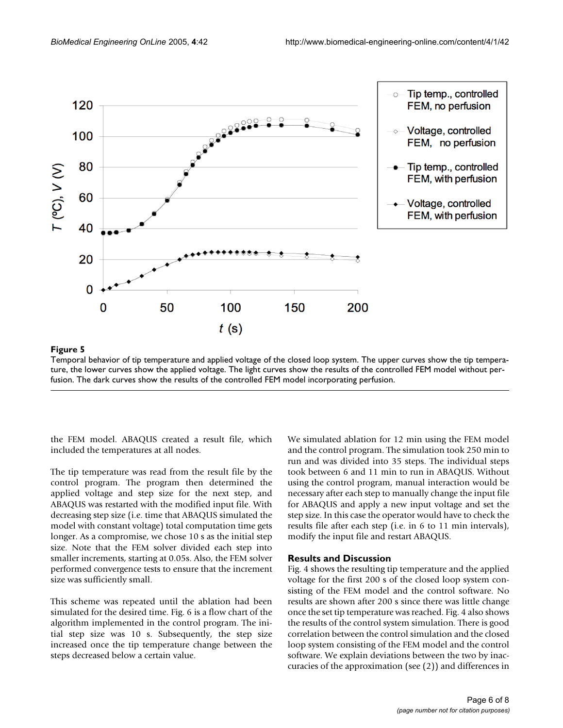

#### Temporal behavior of tip temperature and **Figure 5** applied voltage of the closed loop system

Temporal behavior of tip temperature and applied voltage of the closed loop system. The upper curves show the tip temperature, the lower curves show the applied voltage. The light curves show the results of the controlled FEM model without perfusion. The dark curves show the results of the controlled FEM model incorporating perfusion.

the FEM model. ABAQUS created a result file, which included the temperatures at all nodes.

The tip temperature was read from the result file by the control program. The program then determined the applied voltage and step size for the next step, and ABAQUS was restarted with the modified input file. With decreasing step size (i.e. time that ABAQUS simulated the model with constant voltage) total computation time gets longer. As a compromise, we chose 10 s as the initial step size. Note that the FEM solver divided each step into smaller increments, starting at 0.05s. Also, the FEM solver performed convergence tests to ensure that the increment size was sufficiently small.

This scheme was repeated until the ablation had been simulated for the desired time. Fig. 6 is a flow chart of the algorithm implemented in the control program. The initial step size was 10 s. Subsequently, the step size increased once the tip temperature change between the steps decreased below a certain value.

We simulated ablation for 12 min using the FEM model and the control program. The simulation took 250 min to run and was divided into 35 steps. The individual steps took between 6 and 11 min to run in ABAQUS. Without using the control program, manual interaction would be necessary after each step to manually change the input file for ABAQUS and apply a new input voltage and set the step size. In this case the operator would have to check the results file after each step (i.e. in 6 to 11 min intervals), modify the input file and restart ABAQUS.

#### **Results and Discussion**

Fig. 4 shows the resulting tip temperature and the applied voltage for the first 200 s of the closed loop system consisting of the FEM model and the control software. No results are shown after 200 s since there was little change once the set tip temperature was reached. Fig. 4 also shows the results of the control system simulation. There is good correlation between the control simulation and the closed loop system consisting of the FEM model and the control software. We explain deviations between the two by inaccuracies of the approximation (see (2)) and differences in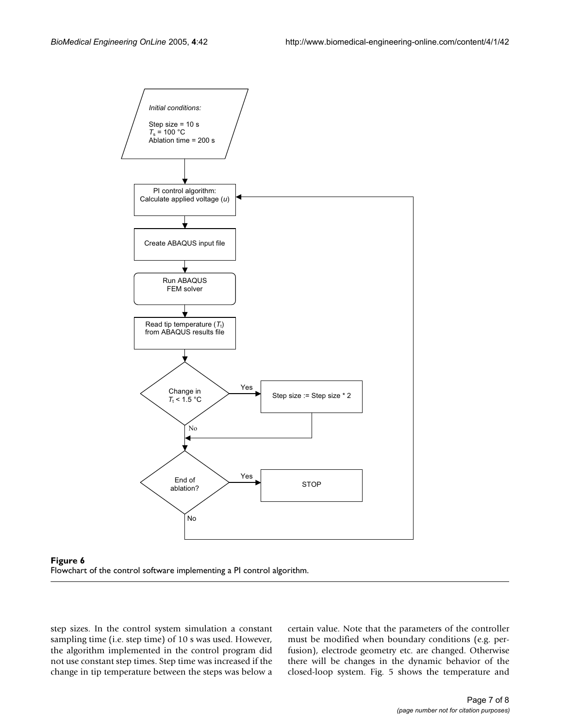



step sizes. In the control system simulation a constant sampling time (i.e. step time) of 10 s was used. However, the algorithm implemented in the control program did not use constant step times. Step time was increased if the change in tip temperature between the steps was below a

certain value. Note that the parameters of the controller must be modified when boundary conditions (e.g. perfusion), electrode geometry etc. are changed. Otherwise there will be changes in the dynamic behavior of the closed-loop system. Fig. 5 shows the temperature and